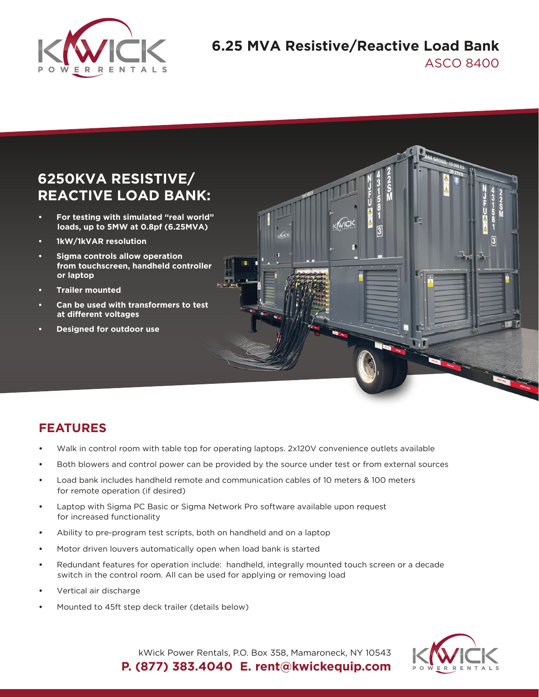

## **6.25 MVA Resistive/Reactive Load Bank** ASCO 8400

# **6250KVA RESISTIVE/ REACTIVE LOAD BANK:**

- **For testing with simulated "real world" loads, up to 5MW at 0.8pf (6.25MVA)**
- **1kW/1kVAR resolution**
- **Sigma controls allow operation from touchscreen, handheld controller or laptop**
- **Trailer mounted**
- **Can be used with transformers to test at different voltages**
- **Designed for outdoor use**



### **FEATURES**

- Walk in control room with table top for operating laptops. 2x120V convenience outlets available
- Both blowers and control power can be provided by the source under test or from external sources
- Load bank includes handheld remote and communication cables of 10 meters & 100 meters for remote operation (if desired)
- Laptop with Sigma PC Basic or Sigma Network Pro software available upon request for increased functionality
- Ability to pre-program test scripts, both on handheld and on a laptop
- Motor driven louvers automatically open when load bank is started
- Redundant features for operation include: handheld, integrally mounted touch screen or a decade switch in the control room. All can be used for applying or removing load
- Vertical air discharge
- Mounted to 45ft step deck trailer (details below)



kWick Power Rentals, P.O. Box 358, Mamaroneck, NY 10543 **P. (877) 383.4040 E. rent@kwickequip.com**